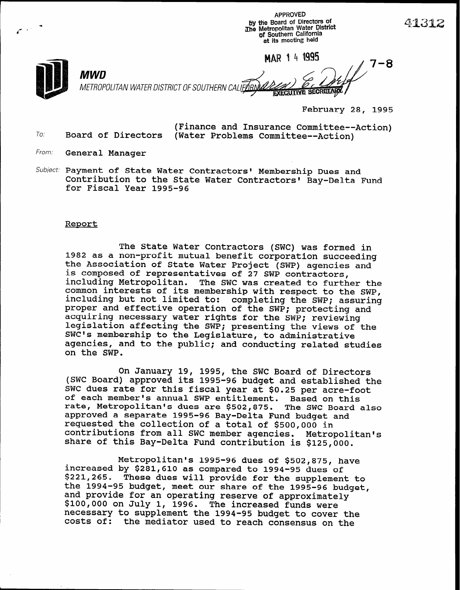APPROVED by the Board of Directors of Xhe Metropolitan Water District of Southern California at its meeting held

MAR 1 4 1995

 $\frac{1}{2}$ <sup>7-8</sup> MWD METROPOLITAN WATER DISTRICT OF SOUTHERN CALIFORNIA **EXECUTIVE SECRETARY** 

February 28, 1995

(Finance and Insurance Committee--Action) (Water Problems Committee--Action)

From. General Manager

To: Board of Directors

Subject: Payment of State Water Contractors' Membership Dues and Contribution to the State Water Contractors' Bay-Delta Fund for Fiscal Year 1995-96

## Report

The State Water Contractors (SWC) was formed in 1982 as a non-profit mutual benefit corporation succeeding the Association of State Water Project (SWP) agencies and is composed of representatives of 27 SWP contractors, including Metropolitan. The SWC was created to further the common interests of its membership with respect to the SWP, including but not limited to: completing the SWP; assuring proper and effective operation of the SWP; protecting and acquiring necessary water rights for the SWP; reviewing legislation affecting the SWP; presenting the views of the SWC's membership to the Legislature, to administrative agencies, and to the public; and conducting related studies on the SWP.

On January 19, 1995, the SWC Board of Directors (SWC Board) approved its 1995-96 budget and established the SWC dues rate for this fiscal year at \$0.25 per acre-foot of each member's annual SWP entitlement. Based on this rate, Metropolitan's dues are \$502,875. The SWC Board also approved a separate 1995-96 Bay-Delta Fund budget and requested the collection of a total of \$500,000 in contributions from all SWC member agencies. Metropolitan's share of this Bay-Delta Fund contribution is \$125,000.

Metropolitan's 1995-96 dues of \$502,875, have increased by \$281,610 as compared to 1994-95 dues of \$221,265. These dues will provide for the supplement to the 1994-95 budget, meet our share of the 1995-96 budget, and provide for an operating reserve of approximately \$100,000 on July 1, 1996. The increased funds were necessary to supplement the 1994-95 budget to cover the costs of: the mediator used to reach consensus on the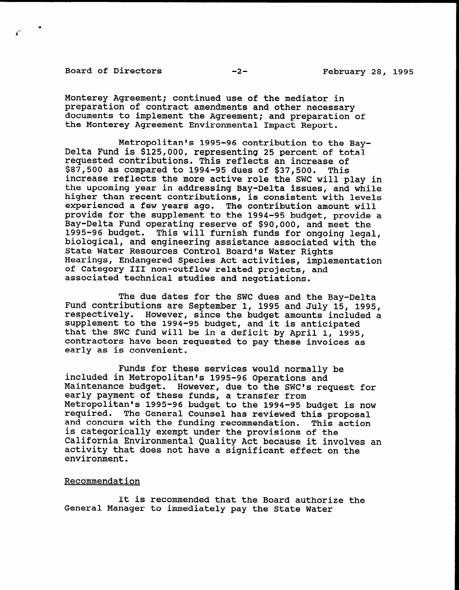Board of Directors -2-<br>
-2-<br>
February 28, 1995

Monterey Agreement; continued use of the mediator in preparation of contract amendments and other necessary documents to implement the Agreement; and preparation of the Monterey Agreement Environmental Impact Report.

Metropolitan's 1995-96 contribution to the Bay-Delta Fund is \$125,000, representing 25 percent of total requested contributions. This reflects an increase of \$87,500 as compared to 1994-95 dues of \$37,500. This increase reflects the more active role the SWC will play in the upcoming year in addressing Bay-Delta issues, and while higher than recent contributions, is consistent with levels experienced a few years ago. The contribution amount will provide for the supplement to the 1994-95 budget, provide a Bay-Delta Fund operating reserve of \$90,000, and meet the 1995-96 budget. This will furnish funds for ongoing legal, biological, and engineering assistance associated with the State Water Resources Control Board's Water Rights Hearings, Endangered Species Act activities, implementation of Category III non-outflow related projects, and associated technical studies and negotiations.

The due dates for the SWC dues and the Bay-Delta Fund contributions are September 1, 1995 and July 15, 1995, rund Contributions are september 1, 1995 and July 15, 1995,<br>respectively. However, since the budget amounts included. respectively. However, since the budget amounts inc supplement to the 1994-95 budget, and it is anticipated that the SWC fund will be in a deficit by April 1, 1995, contractors have been requested to pay these invoices as early as is convenient.

Funds for the services would not see services would not see services would not see services would not see services  $\mathbf{r}$ included in Metropolitan's 1995-96 operations and Metropolitan's 1995-96 operations and Metropolitan's and Met included in Metropolitan's 1995-96 Operations and Maintenance budget. However, due to the SWC's request for early payment of these funds, a transfer from Metropolitan's 1995-96 budget to the 1994-95 budget is now<br>required. The General Counsel has reviewed this proposal The General Counsel has reviewed this proposal and concurs with the funding recommendation. This action is categorically exempt under the provisions of the California Environmental Quality Act because it involves an activity that does not have a significant effect on the environment.

## Recommendation

It is recommended that the Board authorize the<br>General Manager to immediately pay the State Water